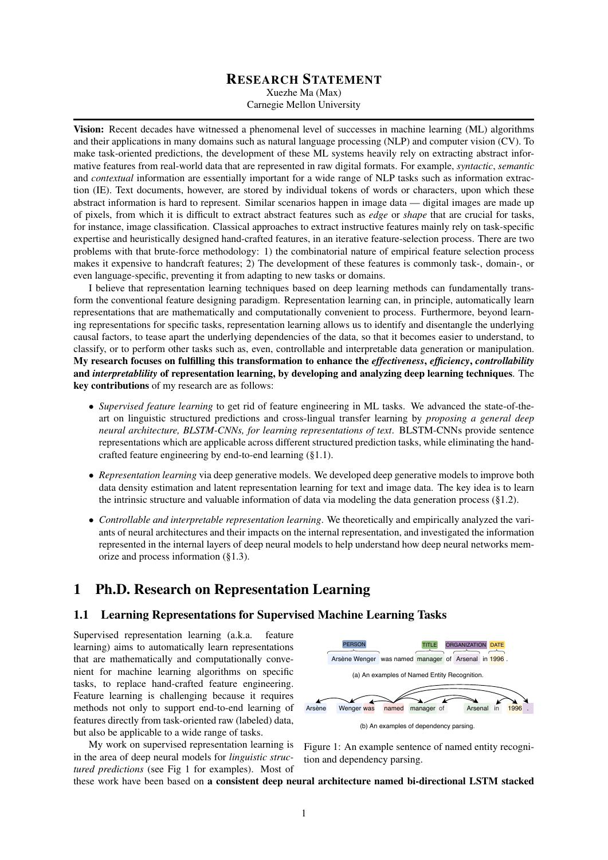### RESEARCH STATEMENT

Xuezhe Ma (Max)

Carnegie Mellon University

Vision: Recent decades have witnessed a phenomenal level of successes in machine learning (ML) algorithms and their applications in many domains such as natural language processing (NLP) and computer vision (CV). To make task-oriented predictions, the development of these ML systems heavily rely on extracting abstract informative features from real-world data that are represented in raw digital formats. For example, *syntactic*, *semantic* and *contextual* information are essentially important for a wide range of NLP tasks such as information extraction (IE). Text documents, however, are stored by individual tokens of words or characters, upon which these abstract information is hard to represent. Similar scenarios happen in image data — digital images are made up of pixels, from which it is difficult to extract abstract features such as *edge* or *shape* that are crucial for tasks, for instance, image classification. Classical approaches to extract instructive features mainly rely on task-specific expertise and heuristically designed hand-crafted features, in an iterative feature-selection process. There are two problems with that brute-force methodology: 1) the combinatorial nature of empirical feature selection process makes it expensive to handcraft features; 2) The development of these features is commonly task-, domain-, or even language-specific, preventing it from adapting to new tasks or domains.

I believe that representation learning techniques based on deep learning methods can fundamentally transform the conventional feature designing paradigm. Representation learning can, in principle, automatically learn representations that are mathematically and computationally convenient to process. Furthermore, beyond learning representations for specific tasks, representation learning allows us to identify and disentangle the underlying causal factors, to tease apart the underlying dependencies of the data, so that it becomes easier to understand, to classify, or to perform other tasks such as, even, controllable and interpretable data generation or manipulation. My research focuses on fulfilling this transformation to enhance the *effectiveness*, *efficiency*, *controllability* and *interpretablility* of representation learning, by developing and analyzing deep learning techniques. The key contributions of my research are as follows:

- *Supervised feature learning* to get rid of feature engineering in ML tasks. We advanced the state-of-theart on linguistic structured predictions and cross-lingual transfer learning by *proposing a general deep neural architecture, BLSTM-CNNs, for learning representations of text*. BLSTM-CNNs provide sentence representations which are applicable across different structured prediction tasks, while eliminating the handcrafted feature engineering by end-to-end learning (§1.1).
- *Representation learning* via deep generative models. We developed deep generative models to improve both data density estimation and latent representation learning for text and image data. The key idea is to learn the intrinsic structure and valuable information of data via modeling the data generation process  $(\S1.2)$ .
- *Controllable and interpretable representation learning*. We theoretically and empirically analyzed the variants of neural architectures and their impacts on the internal representation, and investigated the information represented in the internal layers of deep neural models to help understand how deep neural networks memorize and process information (§1.3).

# 1 Ph.D. Research on Representation Learning

### 1.1 Learning Representations for Supervised Machine Learning Tasks

Supervised representation learning (a.k.a. feature learning) aims to automatically learn representations that are mathematically and computationally convenient for machine learning algorithms on specific tasks, to replace hand-crafted feature engineering. Feature learning is challenging because it requires methods not only to support end-to-end learning of features directly from task-oriented raw (labeled) data, but also be applicable to a wide range of tasks.

My work on supervised representation learning is in the area of deep neural models for *linguistic structured predictions* (see Fig 1 for examples). Most of



Figure 1: An example sentence of named entity recognition and dependency parsing.

these work have been based on a consistent deep neural architecture named bi-directional LSTM stacked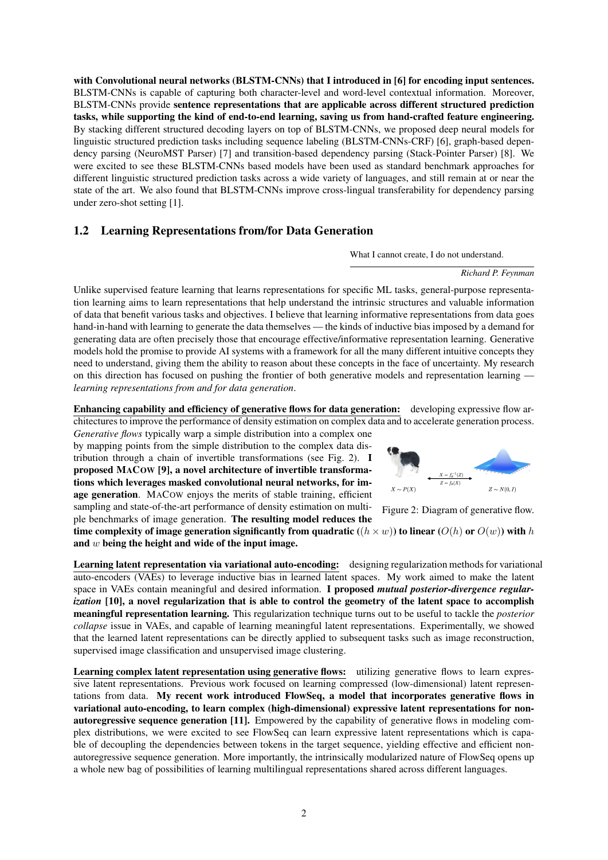with Convolutional neural networks (BLSTM-CNNs) that I introduced in [6] for encoding input sentences. BLSTM-CNNs is capable of capturing both character-level and word-level contextual information. Moreover, BLSTM-CNNs provide sentence representations that are applicable across different structured prediction tasks, while supporting the kind of end-to-end learning, saving us from hand-crafted feature engineering. By stacking different structured decoding layers on top of BLSTM-CNNs, we proposed deep neural models for linguistic structured prediction tasks including sequence labeling (BLSTM-CNNs-CRF) [6], graph-based dependency parsing (NeuroMST Parser) [7] and transition-based dependency parsing (Stack-Pointer Parser) [8]. We were excited to see these BLSTM-CNNs based models have been used as standard benchmark approaches for different linguistic structured prediction tasks across a wide variety of languages, and still remain at or near the state of the art. We also found that BLSTM-CNNs improve cross-lingual transferability for dependency parsing under zero-shot setting [1].

### 1.2 Learning Representations from/for Data Generation

What I cannot create, I do not understand.

#### *Richard P. Feynman*

Unlike supervised feature learning that learns representations for specific ML tasks, general-purpose representation learning aims to learn representations that help understand the intrinsic structures and valuable information of data that benefit various tasks and objectives. I believe that learning informative representations from data goes hand-in-hand with learning to generate the data themselves — the kinds of inductive bias imposed by a demand for generating data are often precisely those that encourage effective/informative representation learning. Generative models hold the promise to provide AI systems with a framework for all the many different intuitive concepts they need to understand, giving them the ability to reason about these concepts in the face of uncertainty. My research on this direction has focused on pushing the frontier of both generative models and representation learning *learning representations from and for data generation*.

Enhancing capability and efficiency of generative flows for data generation: developing expressive flow architectures to improve the performance of density estimation on complex data and to accelerate generation process.

*Generative flows* typically warp a simple distribution into a complex one by mapping points from the simple distribution to the complex data distribution through a chain of invertible transformations (see Fig. 2). I proposed MACOW [9], a novel architecture of invertible transformations which leverages masked convolutional neural networks, for image generation. MACOW enjoys the merits of stable training, efficient sampling and state-of-the-art performance of density estimation on multiple benchmarks of image generation. The resulting model reduces the time complexity of image generation significantly from quadratic (( $h \times w$ )) to linear ( $O(h)$  or  $O(w)$ ) with h

and  $w$  being the height and wide of the input image.

supervised image classification and unsupervised image clustering.



Figure 2: Diagram of generative flow.

Learning latent representation via variational auto-encoding: designing regularization methods for variational auto-encoders (VAEs) to leverage inductive bias in learned latent spaces. My work aimed to make the latent space in VAEs contain meaningful and desired information. I proposed *mutual posterior-divergence regularization* [10], a novel regularization that is able to control the geometry of the latent space to accomplish meaningful representation learning. This regularization technique turns out to be useful to tackle the *posterior collapse* issue in VAEs, and capable of learning meaningful latent representations. Experimentally, we showed that the learned latent representations can be directly applied to subsequent tasks such as image reconstruction,

Learning complex latent representation using generative flows: utilizing generative flows to learn expressive latent representations. Previous work focused on learning compressed (low-dimensional) latent representations from data. My recent work introduced FlowSeq, a model that incorporates generative flows in variational auto-encoding, to learn complex (high-dimensional) expressive latent representations for nonautoregressive sequence generation [11]. Empowered by the capability of generative flows in modeling complex distributions, we were excited to see FlowSeq can learn expressive latent representations which is capable of decoupling the dependencies between tokens in the target sequence, yielding effective and efficient nonautoregressive sequence generation. More importantly, the intrinsically modularized nature of FlowSeq opens up a whole new bag of possibilities of learning multilingual representations shared across different languages.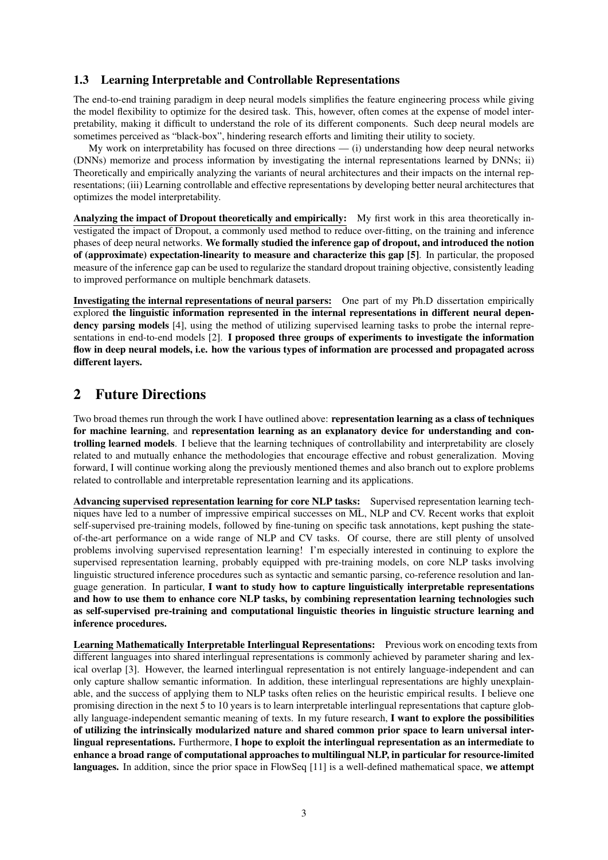### 1.3 Learning Interpretable and Controllable Representations

The end-to-end training paradigm in deep neural models simplifies the feature engineering process while giving the model flexibility to optimize for the desired task. This, however, often comes at the expense of model interpretability, making it difficult to understand the role of its different components. Such deep neural models are sometimes perceived as "black-box", hindering research efforts and limiting their utility to society.

My work on interpretability has focused on three directions — (i) understanding how deep neural networks (DNNs) memorize and process information by investigating the internal representations learned by DNNs; ii) Theoretically and empirically analyzing the variants of neural architectures and their impacts on the internal representations; (iii) Learning controllable and effective representations by developing better neural architectures that optimizes the model interpretability.

Analyzing the impact of Dropout theoretically and empirically: My first work in this area theoretically investigated the impact of Dropout, a commonly used method to reduce over-fitting, on the training and inference phases of deep neural networks. We formally studied the inference gap of dropout, and introduced the notion of (approximate) expectation-linearity to measure and characterize this gap [5]. In particular, the proposed measure of the inference gap can be used to regularize the standard dropout training objective, consistently leading to improved performance on multiple benchmark datasets.

Investigating the internal representations of neural parsers: One part of my Ph.D dissertation empirically explored the linguistic information represented in the internal representations in different neural dependency parsing models [4], using the method of utilizing supervised learning tasks to probe the internal representations in end-to-end models [2]. I proposed three groups of experiments to investigate the information flow in deep neural models, i.e. how the various types of information are processed and propagated across different layers.

## 2 Future Directions

Two broad themes run through the work I have outlined above: representation learning as a class of techniques for machine learning, and representation learning as an explanatory device for understanding and controlling learned models. I believe that the learning techniques of controllability and interpretability are closely related to and mutually enhance the methodologies that encourage effective and robust generalization. Moving forward, I will continue working along the previously mentioned themes and also branch out to explore problems related to controllable and interpretable representation learning and its applications.

Advancing supervised representation learning for core NLP tasks: Supervised representation learning techniques have led to a number of impressive empirical successes on ML, NLP and CV. Recent works that exploit self-supervised pre-training models, followed by fine-tuning on specific task annotations, kept pushing the stateof-the-art performance on a wide range of NLP and CV tasks. Of course, there are still plenty of unsolved problems involving supervised representation learning! I'm especially interested in continuing to explore the supervised representation learning, probably equipped with pre-training models, on core NLP tasks involving linguistic structured inference procedures such as syntactic and semantic parsing, co-reference resolution and language generation. In particular, I want to study how to capture linguistically interpretable representations and how to use them to enhance core NLP tasks, by combining representation learning technologies such as self-supervised pre-training and computational linguistic theories in linguistic structure learning and inference procedures.

Learning Mathematically Interpretable Interlingual Representations: Previous work on encoding texts from different languages into shared interlingual representations is commonly achieved by parameter sharing and lexical overlap [3]. However, the learned interlingual representation is not entirely language-independent and can only capture shallow semantic information. In addition, these interlingual representations are highly unexplainable, and the success of applying them to NLP tasks often relies on the heuristic empirical results. I believe one promising direction in the next 5 to 10 years is to learn interpretable interlingual representations that capture globally language-independent semantic meaning of texts. In my future research, I want to explore the possibilities of utilizing the intrinsically modularized nature and shared common prior space to learn universal interlingual representations. Furthermore, I hope to exploit the interlingual representation as an intermediate to enhance a broad range of computational approaches to multilingual NLP, in particular for resource-limited languages. In addition, since the prior space in FlowSeq [11] is a well-defined mathematical space, we attempt